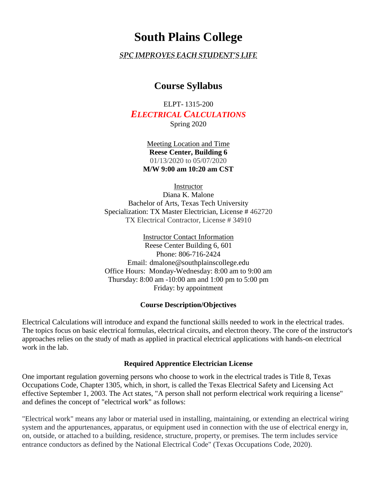# **South Plains College**

## *SPC IMPROVES EACH STUDENT'S LIFE*

## **Course Syllabus**

ELPT- 1315-200 *ELECTRICAL CALCULATIONS* Spring 2020

> Meeting Location and Time **Reese Center, Building 6** 01/13/2020 to 05/07/2020 **M/W 9:00 am 10:20 am CST**

> > Instructor

Diana K. Malone Bachelor of Arts, Texas Tech University Specialization: TX Master Electrician, License # 462720 TX Electrical Contractor, License # 34910

Instructor Contact Information Reese Center Building 6, 601 Phone: 806-716-2424 Email: dmalone@southplainscollege.edu Office Hours: Monday-Wednesday: 8:00 am to 9:00 am Thursday: 8:00 am -10:00 am and 1:00 pm to 5:00 pm Friday: by appointment

#### **Course Description/Objectives**

Electrical Calculations will introduce and expand the functional skills needed to work in the electrical trades. The topics focus on basic electrical formulas, electrical circuits, and electron theory. The core of the instructor's approaches relies on the study of math as applied in practical electrical applications with hands-on electrical work in the lab.

#### **Required Apprentice Electrician License**

One important regulation governing persons who choose to work in the electrical trades is Title 8, Texas Occupations Code, Chapter 1305, which, in short, is called the Texas Electrical Safety and Licensing Act effective September 1, 2003. The Act states, "A person shall not perform electrical work requiring a license" and defines the concept of "electrical work" as follows:

"Electrical work" means any labor or material used in installing, maintaining, or extending an electrical wiring system and the appurtenances, apparatus, or equipment used in connection with the use of electrical energy in, on, outside, or attached to a building, residence, structure, property, or premises. The term includes service entrance conductors as defined by the National Electrical Code" (Texas Occupations Code, 2020).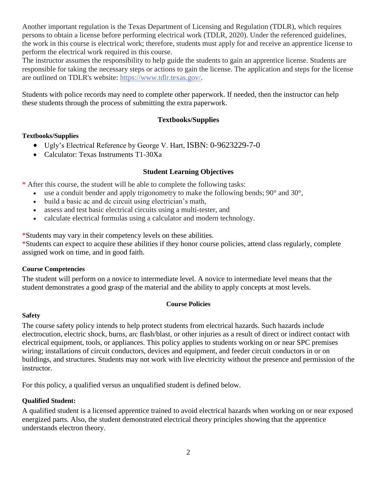Another important regulation is the Texas Department of Licensing and Regulation (TDLR), which requires persons to obtain a license before performing electrical work (TDLR, 2020). Under the referenced guidelines, the work in this course is electrical work; therefore, students must apply for and receive an apprentice license to perform the electrical work required in this course.

The instructor assumes the responsibility to help guide the students to gain an apprentice license. Students are responsible for taking the necessary steps or actions to gain the license. The application and steps for the license are outlined on TDLR's website: [https://www.tdlr.texas.gov/.](https://www.tdlr.texas.gov/)

Students with police records may need to complete other paperwork. If needed, then the instructor can help these students through the process of submitting the extra paperwork.

## **Textbooks/Supplies**

#### **Textbooks/Supplies**

- Ugly's Electrical Reference by George V. Hart, ISBN: 0-9623229-7-0
- Calculator: Texas Instruments T1-30Xa

#### **Student Learning Objectives**

\* After this course, the student will be able to complete the following tasks:

- use a conduit bender and apply trigonometry to make the following bends;  $90^{\circ}$  and  $30^{\circ}$ ,
- build a basic ac and dc circuit using electrician's math,
- assess and test basic electrical circuits using a multi-tester, and
- calculate electrical formulas using a calculator and modern technology.

\*Students may vary in their competency levels on these abilities.

\*Students can expect to acquire these abilities if they honor course policies, attend class regularly, complete assigned work on time, and in good faith.

#### **Course Competencies**

The student will perform on a novice to intermediate level. A novice to intermediate level means that the student demonstrates a good grasp of the material and the ability to apply concepts at most levels.

#### **Course Policies**

#### **Safety**

The course safety policy intends to help protect students from electrical hazards. Such hazards include electrocution, electric shock, burns, arc flash/blast, or other injuries as a result of direct or indirect contact with electrical equipment, tools, or appliances. This policy applies to students working on or near SPC premises wiring; installations of circuit conductors, devices and equipment, and feeder circuit conductors in or on buildings, and structures. Students may not work with live electricity without the presence and permission of the instructor.

For this policy, a qualified versus an unqualified student is defined below.

#### **Qualified Student:**

A qualified student is a licensed apprentice trained to avoid electrical hazards when working on or near exposed energized parts. Also, the student demonstrated electrical theory principles showing that the apprentice understands electron theory.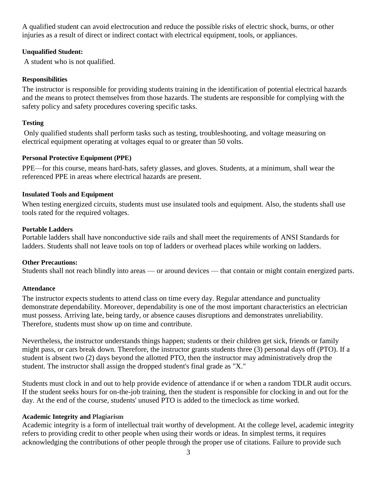A qualified student can avoid electrocution and reduce the possible risks of electric shock, burns, or other injuries as a result of direct or indirect contact with electrical equipment, tools, or appliances.

#### **Unqualified Student:**

A student who is not qualified.

#### **Responsibilities**

The instructor is responsible for providing students training in the identification of potential electrical hazards and the means to protect themselves from those hazards. The students are responsible for complying with the safety policy and safety procedures covering specific tasks.

## **Testing**

Only qualified students shall perform tasks such as testing, troubleshooting, and voltage measuring on electrical equipment operating at voltages equal to or greater than 50 volts.

#### **Personal Protective Equipment (PPE)**

PPE—for this course, means hard-hats, safety glasses, and gloves. Students, at a minimum, shall wear the referenced PPE in areas where electrical hazards are present.

## **Insulated Tools and Equipment**

When testing energized circuits, students must use insulated tools and equipment. Also, the students shall use tools rated for the required voltages.

#### **Portable Ladders**

Portable ladders shall have nonconductive side rails and shall meet the requirements of ANSI Standards for ladders. Students shall not leave tools on top of ladders or overhead places while working on ladders.

## **Other Precautions:**

Students shall not reach blindly into areas — or around devices — that contain or might contain energized parts.

#### **Attendance**

The instructor expects students to attend class on time every day. Regular attendance and punctuality demonstrate dependability. Moreover, dependability is one of the most important characteristics an electrician must possess. Arriving late, being tardy, or absence causes disruptions and demonstrates unreliability. Therefore, students must show up on time and contribute.

Nevertheless, the instructor understands things happen; students or their children get sick, friends or family might pass, or cars break down. Therefore, the instructor grants students three (3) personal days off (PTO). If a student is absent two (2) days beyond the allotted PTO, then the instructor may administratively drop the student. The instructor shall assign the dropped student's final grade as "X."

Students must clock in and out to help provide evidence of attendance if or when a random TDLR audit occurs. If the student seeks hours for on-the-job training, then the student is responsible for clocking in and out for the day. At the end of the course, students' unused PTO is added to the timeclock as time worked.

#### **Academic Integrity and Plagiarism**

Academic integrity is a form of intellectual trait worthy of development. At the college level, academic integrity refers to providing credit to other people when using their words or ideas. In simplest terms, it requires acknowledging the contributions of other people through the proper use of citations. Failure to provide such